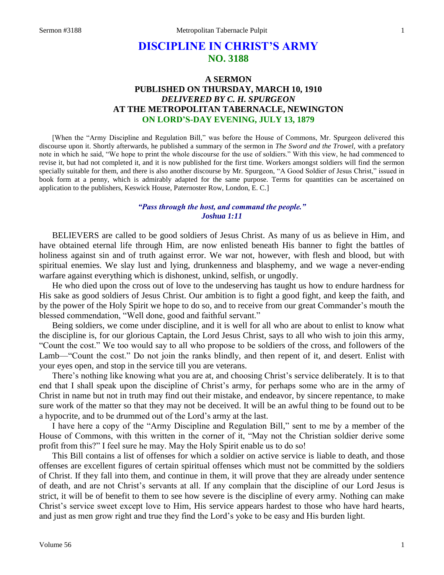# **DISCIPLINE IN CHRIST'S ARMY NO. 3188**

# **A SERMON PUBLISHED ON THURSDAY, MARCH 10, 1910** *DELIVERED BY C. H. SPURGEON* **AT THE METROPOLITAN TABERNACLE, NEWINGTON ON LORD'S-DAY EVENING, JULY 13, 1879**

[When the "Army Discipline and Regulation Bill," was before the House of Commons, Mr. Spurgeon delivered this discourse upon it. Shortly afterwards, he published a summary of the sermon in *The Sword and the Trowel,* with a prefatory note in which he said, "We hope to print the whole discourse for the use of soldiers." With this view, he had commenced to revise it, but had not completed it, and it is now published for the first time. Workers amongst soldiers will find the sermon specially suitable for them, and there is also another discourse by Mr. Spurgeon, "A Good Soldier of Jesus Christ," issued in book form at a penny, which is admirably adapted for the same purpose. Terms for quantities can be ascertained on application to the publishers, Keswick House, Paternoster Row, London, E. C.]

#### *"Pass through the host, and command the people." Joshua 1:11*

BELIEVERS are called to be good soldiers of Jesus Christ. As many of us as believe in Him, and have obtained eternal life through Him, are now enlisted beneath His banner to fight the battles of holiness against sin and of truth against error. We war not, however, with flesh and blood, but with spiritual enemies. We slay lust and lying, drunkenness and blasphemy, and we wage a never-ending warfare against everything which is dishonest, unkind, selfish, or ungodly.

He who died upon the cross out of love to the undeserving has taught us how to endure hardness for His sake as good soldiers of Jesus Christ. Our ambition is to fight a good fight, and keep the faith, and by the power of the Holy Spirit we hope to do so, and to receive from our great Commander's mouth the blessed commendation, "Well done, good and faithful servant."

Being soldiers, we come under discipline, and it is well for all who are about to enlist to know what the discipline is, for our glorious Captain, the Lord Jesus Christ, says to all who wish to join this army, "Count the cost." We too would say to all who propose to be soldiers of the cross, and followers of the Lamb—"Count the cost." Do not join the ranks blindly, and then repent of it, and desert. Enlist with your eyes open, and stop in the service till you are veterans.

There's nothing like knowing what you are at, and choosing Christ's service deliberately. It is to that end that I shall speak upon the discipline of Christ's army, for perhaps some who are in the army of Christ in name but not in truth may find out their mistake, and endeavor, by sincere repentance, to make sure work of the matter so that they may not be deceived. It will be an awful thing to be found out to be a hypocrite, and to be drummed out of the Lord's army at the last.

I have here a copy of the "Army Discipline and Regulation Bill," sent to me by a member of the House of Commons, with this written in the corner of it, "May not the Christian soldier derive some profit from this?" I feel sure he may. May the Holy Spirit enable us to do so!

This Bill contains a list of offenses for which a soldier on active service is liable to death, and those offenses are excellent figures of certain spiritual offenses which must not be committed by the soldiers of Christ. If they fall into them, and continue in them, it will prove that they are already under sentence of death, and are not Christ's servants at all. If any complain that the discipline of our Lord Jesus is strict, it will be of benefit to them to see how severe is the discipline of every army. Nothing can make Christ's service sweet except love to Him, His service appears hardest to those who have hard hearts, and just as men grow right and true they find the Lord's yoke to be easy and His burden light.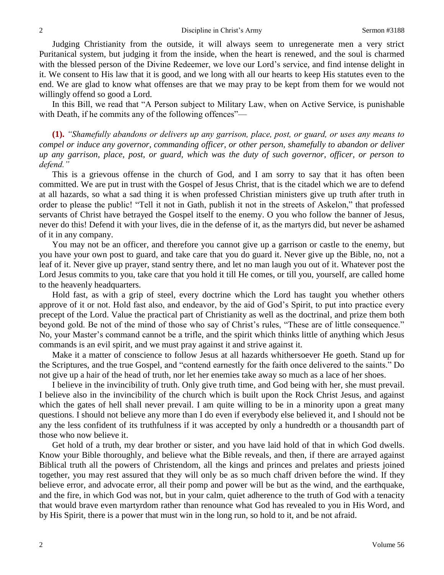Judging Christianity from the outside, it will always seem to unregenerate men a very strict Puritanical system, but judging it from the inside, when the heart is renewed, and the soul is charmed with the blessed person of the Divine Redeemer, we love our Lord's service, and find intense delight in it. We consent to His law that it is good, and we long with all our hearts to keep His statutes even to the end. We are glad to know what offenses are that we may pray to be kept from them for we would not willingly offend so good a Lord.

In this Bill, we read that "A Person subject to Military Law, when on Active Service, is punishable with Death, if he commits any of the following offences"—

**(1).** *"Shamefully abandons or delivers up any garrison, place, post, or guard, or uses any means to compel or induce any governor, commanding officer, or other person, shamefully to abandon or deliver up any garrison, place, post, or guard, which was the duty of such governor, officer, or person to defend."* 

This is a grievous offense in the church of God, and I am sorry to say that it has often been committed. We are put in trust with the Gospel of Jesus Christ, that is the citadel which we are to defend at all hazards, so what a sad thing it is when professed Christian ministers give up truth after truth in order to please the public! "Tell it not in Gath, publish it not in the streets of Askelon," that professed servants of Christ have betrayed the Gospel itself to the enemy. O you who follow the banner of Jesus, never do this! Defend it with your lives, die in the defense of it, as the martyrs did, but never be ashamed of it in any company.

You may not be an officer, and therefore you cannot give up a garrison or castle to the enemy, but you have your own post to guard, and take care that you do guard it. Never give up the Bible, no, not a leaf of it. Never give up prayer, stand sentry there, and let no man laugh you out of it. Whatever post the Lord Jesus commits to you, take care that you hold it till He comes, or till you, yourself, are called home to the heavenly headquarters.

Hold fast, as with a grip of steel, every doctrine which the Lord has taught you whether others approve of it or not. Hold fast also, and endeavor, by the aid of God's Spirit, to put into practice every precept of the Lord. Value the practical part of Christianity as well as the doctrinal, and prize them both beyond gold. Be not of the mind of those who say of Christ's rules, "These are of little consequence." No, your Master's command cannot be a trifle, and the spirit which thinks little of anything which Jesus commands is an evil spirit, and we must pray against it and strive against it.

Make it a matter of conscience to follow Jesus at all hazards whithersoever He goeth. Stand up for the Scriptures, and the true Gospel, and "contend earnestly for the faith once delivered to the saints." Do not give up a hair of the head of truth, nor let her enemies take away so much as a lace of her shoes.

I believe in the invincibility of truth. Only give truth time, and God being with her, she must prevail. I believe also in the invincibility of the church which is built upon the Rock Christ Jesus, and against which the gates of hell shall never prevail. I am quite willing to be in a minority upon a great many questions. I should not believe any more than I do even if everybody else believed it, and I should not be any the less confident of its truthfulness if it was accepted by only a hundredth or a thousandth part of those who now believe it.

Get hold of a truth, my dear brother or sister, and you have laid hold of that in which God dwells. Know your Bible thoroughly, and believe what the Bible reveals, and then, if there are arrayed against Biblical truth all the powers of Christendom, all the kings and princes and prelates and priests joined together, you may rest assured that they will only be as so much chaff driven before the wind. If they believe error, and advocate error, all their pomp and power will be but as the wind, and the earthquake, and the fire, in which God was not, but in your calm, quiet adherence to the truth of God with a tenacity that would brave even martyrdom rather than renounce what God has revealed to you in His Word, and by His Spirit, there is a power that must win in the long run, so hold to it, and be not afraid.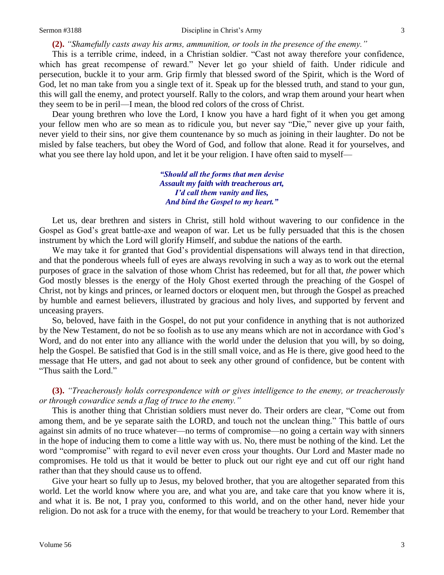**(2).** *"Shamefully casts away his arms, ammunition, or tools in the presence of the enemy."*

This is a terrible crime, indeed, in a Christian soldier. "Cast not away therefore your confidence, which has great recompense of reward." Never let go your shield of faith. Under ridicule and persecution, buckle it to your arm. Grip firmly that blessed sword of the Spirit, which is the Word of God, let no man take from you a single text of it. Speak up for the blessed truth, and stand to your gun, this will gall the enemy, and protect yourself. Rally to the colors, and wrap them around your heart when they seem to be in peril—I mean, the blood red colors of the cross of Christ.

Dear young brethren who love the Lord, I know you have a hard fight of it when you get among your fellow men who are so mean as to ridicule you, but never say "Die," never give up your faith, never yield to their sins, nor give them countenance by so much as joining in their laughter. Do not be misled by false teachers, but obey the Word of God, and follow that alone. Read it for yourselves, and what you see there lay hold upon, and let it be your religion. I have often said to myself—

> *"Should all the forms that men devise Assault my faith with treacherous art, I'd call them vanity and lies, And bind the Gospel to my heart."*

Let us, dear brethren and sisters in Christ, still hold without wavering to our confidence in the Gospel as God's great battle-axe and weapon of war. Let us be fully persuaded that this is the chosen instrument by which the Lord will glorify Himself, and subdue the nations of the earth.

We may take it for granted that God's providential dispensations will always tend in that direction, and that the ponderous wheels full of eyes are always revolving in such a way as to work out the eternal purposes of grace in the salvation of those whom Christ has redeemed, but for all that, *the* power which God mostly blesses is the energy of the Holy Ghost exerted through the preaching of the Gospel of Christ, not by kings and princes, or learned doctors or eloquent men, but through the Gospel as preached by humble and earnest believers, illustrated by gracious and holy lives, and supported by fervent and unceasing prayers.

So, beloved, have faith in the Gospel, do not put your confidence in anything that is not authorized by the New Testament, do not be so foolish as to use any means which are not in accordance with God's Word, and do not enter into any alliance with the world under the delusion that you will, by so doing, help the Gospel. Be satisfied that God is in the still small voice, and as He is there, give good heed to the message that He utters, and gad not about to seek any other ground of confidence, but be content with "Thus saith the Lord."

**(3).** *"Treacherously holds correspondence with or gives intelligence to the enemy, or treacherously or through cowardice sends a flag of truce to the enemy."*

This is another thing that Christian soldiers must never do. Their orders are clear, "Come out from among them, and be ye separate saith the LORD, and touch not the unclean thing." This battle of ours against sin admits of no truce whatever—no terms of compromise—no going a certain way with sinners in the hope of inducing them to come a little way with us. No, there must be nothing of the kind. Let the word "compromise" with regard to evil never even cross your thoughts. Our Lord and Master made no compromises. He told us that it would be better to pluck out our right eye and cut off our right hand rather than that they should cause us to offend.

Give your heart so fully up to Jesus, my beloved brother, that you are altogether separated from this world. Let the world know where you are, and what you are, and take care that you know where it is, and what it is. Be not, I pray you, conformed to this world, and on the other hand, never hide your religion. Do not ask for a truce with the enemy, for that would be treachery to your Lord. Remember that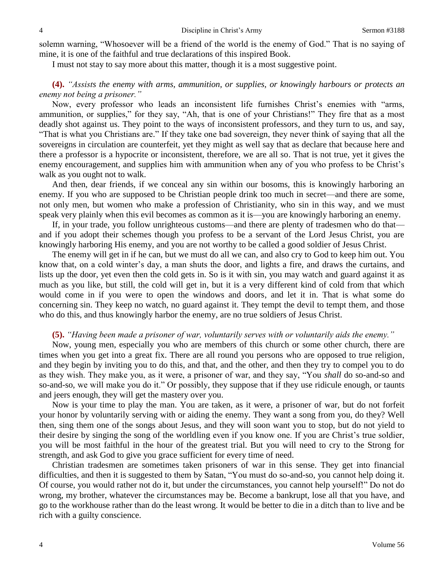solemn warning, "Whosoever will be a friend of the world is the enemy of God." That is no saying of mine, it is one of the faithful and true declarations of this inspired Book.

I must not stay to say more about this matter, though it is a most suggestive point.

### **(4).** *"Assists the enemy with arms, ammunition, or supplies, or knowingly harbours or protects an enemy not being a prisoner."*

Now, every professor who leads an inconsistent life furnishes Christ's enemies with "arms, ammunition, or supplies," for they say, "Ah, that is one of your Christians!" They fire that as a most deadly shot against us. They point to the ways of inconsistent professors, and they turn to us, and say, "That is what you Christians are." If they take one bad sovereign, they never think of saying that all the sovereigns in circulation are counterfeit, yet they might as well say that as declare that because here and there a professor is a hypocrite or inconsistent, therefore, we are all so. That is not true, yet it gives the enemy encouragement, and supplies him with ammunition when any of you who profess to be Christ's walk as you ought not to walk.

And then, dear friends, if we conceal any sin within our bosoms, this is knowingly harboring an enemy. If you who are supposed to be Christian people drink too much in secret—and there are some, not only men, but women who make a profession of Christianity, who sin in this way, and we must speak very plainly when this evil becomes as common as it is—you are knowingly harboring an enemy.

If, in your trade, you follow unrighteous customs—and there are plenty of tradesmen who do that and if you adopt their schemes though you profess to be a servant of the Lord Jesus Christ, you are knowingly harboring His enemy, and you are not worthy to be called a good soldier of Jesus Christ.

The enemy will get in if he can, but we must do all we can, and also cry to God to keep him out. You know that, on a cold winter's day, a man shuts the door, and lights a fire, and draws the curtains, and lists up the door, yet even then the cold gets in. So is it with sin, you may watch and guard against it as much as you like, but still, the cold will get in, but it is a very different kind of cold from that which would come in if you were to open the windows and doors, and let it in. That is what some do concerning sin. They keep no watch, no guard against it. They tempt the devil to tempt them, and those who do this, and thus knowingly harbor the enemy, are no true soldiers of Jesus Christ.

#### **(5).** *"Having been made a prisoner of war, voluntarily serves with or voluntarily aids the enemy."*

Now, young men, especially you who are members of this church or some other church, there are times when you get into a great fix. There are all round you persons who are opposed to true religion, and they begin by inviting you to do this, and that, and the other, and then they try to compel you to do as they wish. They make you, as it were, a prisoner of war, and they say, "You *shall* do so-and-so and so-and-so, we will make you do it." Or possibly, they suppose that if they use ridicule enough, or taunts and jeers enough, they will get the mastery over you.

Now is your time to play the man. You are taken, as it were, a prisoner of war, but do not forfeit your honor by voluntarily serving with or aiding the enemy. They want a song from you, do they? Well then, sing them one of the songs about Jesus, and they will soon want you to stop, but do not yield to their desire by singing the song of the worldling even if you know one. If you are Christ's true soldier, you will be most faithful in the hour of the greatest trial. But you will need to cry to the Strong for strength, and ask God to give you grace sufficient for every time of need.

Christian tradesmen are sometimes taken prisoners of war in this sense. They get into financial difficulties, and then it is suggested to them by Satan, "You must do so-and-so, you cannot help doing it. Of course, you would rather not do it, but under the circumstances, you cannot help yourself!" Do not do wrong, my brother, whatever the circumstances may be. Become a bankrupt, lose all that you have, and go to the workhouse rather than do the least wrong. It would be better to die in a ditch than to live and be rich with a guilty conscience.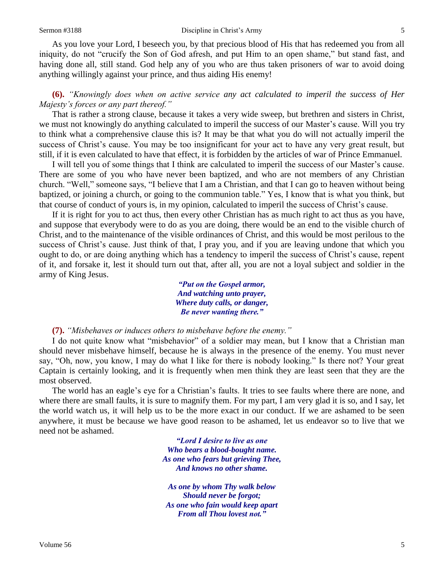#### Sermon #3188 Discipline in Christ's Army 5

As you love your Lord, I beseech you, by that precious blood of His that has redeemed you from all iniquity, do not "crucify the Son of God afresh, and put Him to an open shame," but stand fast, and having done all, still stand. God help any of you who are thus taken prisoners of war to avoid doing anything willingly against your prince, and thus aiding His enemy!

# **(6).** *"Knowingly does when on active service any act calculated to imperil the success of Her Majesty's forces or any part thereof."*

That is rather a strong clause, because it takes a very wide sweep, but brethren and sisters in Christ, we must not knowingly do anything calculated to imperil the success of our Master's cause. Will you try to think what a comprehensive clause this is? It may be that what you do will not actually imperil the success of Christ's cause. You may be too insignificant for your act to have any very great result, but still, if it is even calculated to have that effect, it is forbidden by the articles of war of Prince Emmanuel.

I will tell you of some things that I think are calculated to imperil the success of our Master's cause. There are some of you who have never been baptized, and who are not members of any Christian church. "Well," someone says, "I believe that I am a Christian, and that I can go to heaven without being baptized, or joining a church, or going to the communion table." Yes, I know that is what you think, but that course of conduct of yours is, in my opinion, calculated to imperil the success of Christ's cause.

If it is right for you to act thus, then every other Christian has as much right to act thus as you have, and suppose that everybody were to do as you are doing, there would be an end to the visible church of Christ, and to the maintenance of the visible ordinances of Christ, and this would be most perilous to the success of Christ's cause. Just think of that, I pray you, and if you are leaving undone that which you ought to do, or are doing anything which has a tendency to imperil the success of Christ's cause, repent of it, and forsake it, lest it should turn out that, after all, you are not a loyal subject and soldier in the army of King Jesus.

> *"Put on the Gospel armor, And watching unto prayer, Where duty calls, or danger, Be never wanting there."*

**(7).** *"Misbehaves or induces others to misbehave before the enemy."* 

I do not quite know what "misbehavior" of a soldier may mean, but I know that a Christian man should never misbehave himself, because he is always in the presence of the enemy. You must never say, "Oh, now, you know, I may do what I like for there is nobody looking." Is there not? Your great Captain is certainly looking, and it is frequently when men think they are least seen that they are the most observed.

The world has an eagle's eye for a Christian's faults. It tries to see faults where there are none, and where there are small faults, it is sure to magnify them. For my part, I am very glad it is so, and I say, let the world watch us, it will help us to be the more exact in our conduct. If we are ashamed to be seen anywhere, it must be because we have good reason to be ashamed, let us endeavor so to live that we need not be ashamed.

> *"Lord I desire to live as one Who bears a blood-bought name. As one who fears but grieving Thee, And knows no other shame.*

*As one by whom Thy walk below Should never be forgot; As one who fain would keep apart From all Thou lovest not."*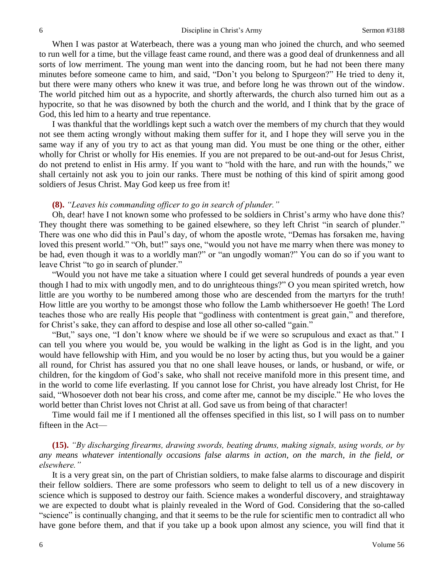When I was pastor at Waterbeach, there was a young man who joined the church, and who seemed to run well for a time, but the village feast came round, and there was a good deal of drunkenness and all sorts of low merriment. The young man went into the dancing room, but he had not been there many minutes before someone came to him, and said, "Don't you belong to Spurgeon?" He tried to deny it, but there were many others who knew it was true, and before long he was thrown out of the window. The world pitched him out as a hypocrite, and shortly afterwards, the church also turned him out as a hypocrite, so that he was disowned by both the church and the world, and I think that by the grace of God, this led him to a hearty and true repentance.

I was thankful that the worldlings kept such a watch over the members of my church that they would not see them acting wrongly without making them suffer for it, and I hope they will serve you in the same way if any of you try to act as that young man did. You must be one thing or the other, either wholly for Christ or wholly for His enemies. If you are not prepared to be out-and-out for Jesus Christ, do not pretend to enlist in His army. If you want to "hold with the hare, and run with the hounds," we shall certainly not ask you to join our ranks. There must be nothing of this kind of spirit among good soldiers of Jesus Christ. May God keep us free from it!

### **(8).** *"Leaves his commanding officer to go in search of plunder."*

Oh, dear! have I not known some who professed to be soldiers in Christ's army who have done this? They thought there was something to be gained elsewhere, so they left Christ "in search of plunder." There was one who did this in Paul's day, of whom the apostle wrote, "Demas has forsaken me, having loved this present world." "Oh, but!" says one, "would you not have me marry when there was money to be had, even though it was to a worldly man?" or "an ungodly woman?" You can do so if you want to leave Christ "to go in search of plunder."

"Would you not have me take a situation where I could get several hundreds of pounds a year even though I had to mix with ungodly men, and to do unrighteous things?" O you mean spirited wretch, how little are you worthy to be numbered among those who are descended from the martyrs for the truth! How little are you worthy to be amongst those who follow the Lamb whithersoever He goeth! The Lord teaches those who are really His people that "godliness with contentment is great gain," and therefore, for Christ's sake, they can afford to despise and lose all other so-called "gain."

"But," says one, "I don't know where we should be if we were so scrupulous and exact as that." I can tell you where you would be, you would be walking in the light as God is in the light, and you would have fellowship with Him, and you would be no loser by acting thus, but you would be a gainer all round, for Christ has assured you that no one shall leave houses, or lands, or husband, or wife, or children, for the kingdom of God's sake, who shall not receive manifold more in this present time, and in the world to come life everlasting. If you cannot lose for Christ, you have already lost Christ, for He said, "Whosoever doth not bear his cross, and come after me, cannot be my disciple." He who loves the world better than Christ loves not Christ at all. God save us from being of that character!

Time would fail me if I mentioned all the offenses specified in this list, so I will pass on to number fifteen in the Act—

# **(15).** *"By discharging firearms, drawing swords, beating drums, making signals, using words, or by any means whatever intentionally occasions false alarms in action, on the march, in the field, or elsewhere."*

It is a very great sin, on the part of Christian soldiers, to make false alarms to discourage and dispirit their fellow soldiers. There are some professors who seem to delight to tell us of a new discovery in science which is supposed to destroy our faith. Science makes a wonderful discovery, and straightaway we are expected to doubt what is plainly revealed in the Word of God. Considering that the so-called "science" is continually changing, and that it seems to be the rule for scientific men to contradict all who have gone before them, and that if you take up a book upon almost any science, you will find that it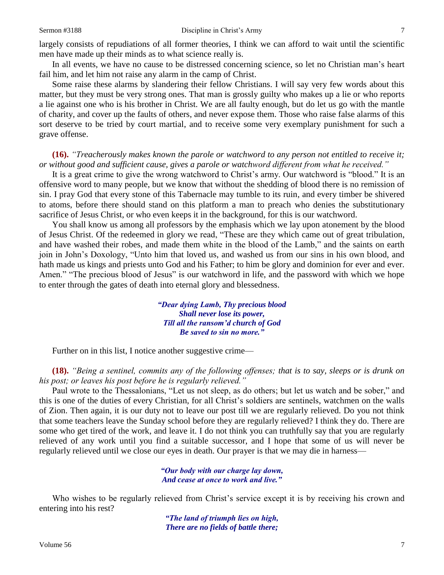largely consists of repudiations of all former theories, I think we can afford to wait until the scientific men have made up their minds as to what science really is.

In all events, we have no cause to be distressed concerning science, so let no Christian man's heart fail him, and let him not raise any alarm in the camp of Christ.

Some raise these alarms by slandering their fellow Christians. I will say very few words about this matter, but they must be very strong ones. That man is grossly guilty who makes up a lie or who reports a lie against one who is his brother in Christ. We are all faulty enough, but do let us go with the mantle of charity, and cover up the faults of others, and never expose them. Those who raise false alarms of this sort deserve to be tried by court martial, and to receive some very exemplary punishment for such a grave offense.

#### **(16).** *"Treacherously makes known the parole or watchword to any person not entitled to receive it; or without good and sufficient cause, gives a parole or watchword different from what he received."*

It is a great crime to give the wrong watchword to Christ's army. Our watchword is "blood." It is an offensive word to many people, but we know that without the shedding of blood there is no remission of sin. I pray God that every stone of this Tabernacle may tumble to its ruin, and every timber be shivered to atoms, before there should stand on this platform a man to preach who denies the substitutionary sacrifice of Jesus Christ, or who even keeps it in the background, for this is our watchword.

You shall know us among all professors by the emphasis which we lay upon atonement by the blood of Jesus Christ. Of the redeemed in glory we read, "These are they which came out of great tribulation, and have washed their robes, and made them white in the blood of the Lamb," and the saints on earth join in John's Doxology, "Unto him that loved us, and washed us from our sins in his own blood, and hath made us kings and priests unto God and his Father; to him be glory and dominion for ever and ever. Amen." "The precious blood of Jesus" is our watchword in life, and the password with which we hope to enter through the gates of death into eternal glory and blessedness.

> *"Dear dying Lamb, Thy precious blood Shall never lose its power, Till all the ransom'd church of God Be saved to sin no more."*

Further on in this list, I notice another suggestive crime—

**(18).** *"Being a sentinel, commits any of the following offenses; that is to say, sleeps or is drunk on his post; or leaves his post before he is regularly relieved."*

Paul wrote to the Thessalonians, "Let us not sleep, as do others; but let us watch and be sober," and this is one of the duties of every Christian, for all Christ's soldiers are sentinels, watchmen on the walls of Zion. Then again, it is our duty not to leave our post till we are regularly relieved. Do you not think that some teachers leave the Sunday school before they are regularly relieved? I think they do. There are some who get tired of the work, and leave it. I do not think you can truthfully say that you are regularly relieved of any work until you find a suitable successor, and I hope that some of us will never be regularly relieved until we close our eyes in death. Our prayer is that we may die in harness—

> *"Our body with our charge lay down, And cease at once to work and live."*

Who wishes to be regularly relieved from Christ's service except it is by receiving his crown and entering into his rest?

> *"The land of triumph lies on high, There are no fields of battle there;*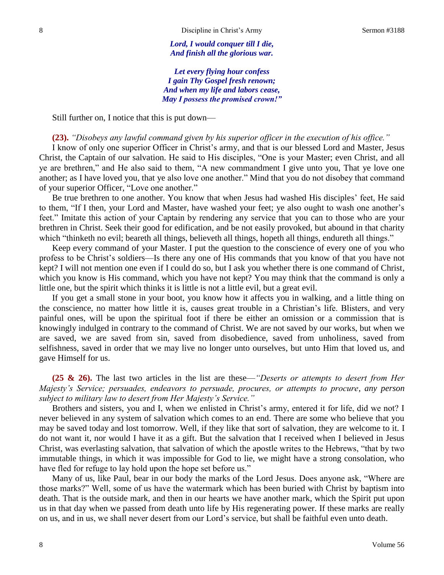*Lord, I would conquer till I die, And finish all the glorious war.*

*Let every flying hour confess I gain Thy Gospel fresh renown; And when my life and labors cease, May I possess the promised crown!"*

Still further on, I notice that this is put down—

#### **(23).** *"Disobeys any lawful command given by his superior officer in the execution of his office."*

I know of only one superior Officer in Christ's army, and that is our blessed Lord and Master, Jesus Christ, the Captain of our salvation. He said to His disciples, "One is your Master; even Christ, and all ye are brethren," and He also said to them, "A new commandment I give unto you, That ye love one another; as I have loved you, that ye also love one another." Mind that you do not disobey that command of your superior Officer, "Love one another."

Be true brethren to one another. You know that when Jesus had washed His disciples' feet, He said to them, "If I then, your Lord and Master, have washed your feet; ye also ought to wash one another's feet." Imitate this action of your Captain by rendering any service that you can to those who are your brethren in Christ. Seek their good for edification, and be not easily provoked, but abound in that charity which "thinketh no evil; beareth all things, believeth all things, hopeth all things, endureth all things."

Keep every command of your Master. I put the question to the conscience of every one of you who profess to be Christ's soldiers—Is there any one of His commands that you know of that you have not kept? I will not mention one even if I could do so, but I ask you whether there is one command of Christ, which you know is His command, which you have not kept? You may think that the command is only a little one, but the spirit which thinks it is little is not a little evil, but a great evil.

If you get a small stone in your boot, you know how it affects you in walking, and a little thing on the conscience, no matter how little it is, causes great trouble in a Christian's life. Blisters, and very painful ones, will be upon the spiritual foot if there be either an omission or a commission that is knowingly indulged in contrary to the command of Christ. We are not saved by our works, but when we are saved, we are saved from sin, saved from disobedience, saved from unholiness, saved from selfishness, saved in order that we may live no longer unto ourselves, but unto Him that loved us, and gave Himself for us.

**(25 & 26).** The last two articles in the list are these—*"Deserts or attempts to desert from Her Majesty's Service; persuades, endeavors to persuade, procures, or attempts to procure, any person subject to military law to desert from Her Majesty's Service."* 

Brothers and sisters, you and I, when we enlisted in Christ's army, entered it for life, did we not? I never believed in any system of salvation which comes to an end. There are some who believe that you may be saved today and lost tomorrow. Well, if they like that sort of salvation, they are welcome to it. I do not want it, nor would I have it as a gift. But the salvation that I received when I believed in Jesus Christ, was everlasting salvation, that salvation of which the apostle writes to the Hebrews, "that by two immutable things, in which it was impossible for God to lie, we might have a strong consolation, who have fled for refuge to lay hold upon the hope set before us."

Many of us, like Paul, bear in our body the marks of the Lord Jesus. Does anyone ask, "Where are those marks?" Well, some of us have the watermark which has been buried with Christ by baptism into death. That is the outside mark, and then in our hearts we have another mark, which the Spirit put upon us in that day when we passed from death unto life by His regenerating power. If these marks are really on us, and in us, we shall never desert from our Lord's service, but shall be faithful even unto death.